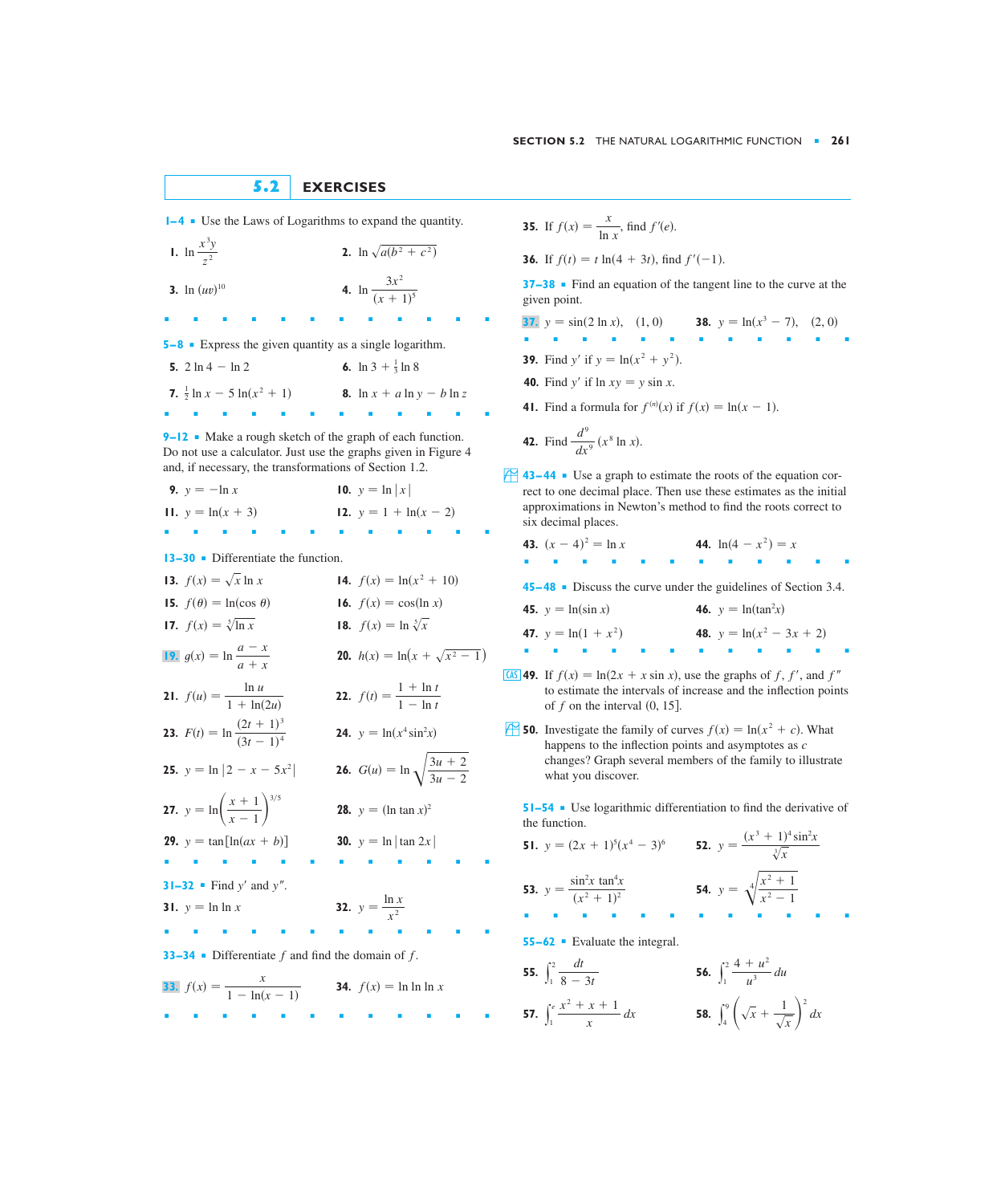## **5.2 EXERCISES**

**1–4** ■ Use the Laws of Logarithms to expand the quantity.

**1.**  $\ln \frac{x^3y}{2}$  **2. 3.**  $\ln (uv)^{10}$  **4.** ■■■■■■■■■■■■  $\ln \frac{3x^2}{4}$  $\int \ln{(uv)}^{10}$  **4.**  $\ln{\frac{1}{(x+1)^5}}$ **2.**  $\ln \sqrt{a(b^2 + c^2)}$ *z* 2

**5–8** ■ Express the given quantity as a single logarithm.

**5.**  $2 \ln 4 - \ln 2$ **7.**  $\frac{1}{2} \ln x - 5 \ln(x^2 + 1)$  **8.** ■■■■■■■■■■■■ **8.**  $\ln x + a \ln y - b \ln z$  $2 \ln 4 - \ln 2$  6.  $\ln 3 + \frac{1}{3} \ln 8$ 

**9–12** ■ Make a rough sketch of the graph of each function. Do not use a calculator. Just use the graphs given in Figure 4 and, if necessary, the transformations of Section 1.2.

**9.**  $y = -\ln x$ **11.**  $y = ln(x + 3)$ **12.**  $y = 1 + \ln(x - 2)$ **10.**  $y = \ln |x|$ 

■■■■■■■■■■■■

**13–30** ■ Differentiate the function.

| 13. $f(x) = \sqrt{x} \ln x$                                   | 14. $f(x) = \ln(x^2 + 10)$                       |
|---------------------------------------------------------------|--------------------------------------------------|
| <b>15.</b> $f(\theta) = \ln(\cos \theta)$                     | 16. $f(x) = \cos(\ln x)$                         |
| 17. $f(x) = \sqrt[5]{\ln x}$                                  | 18. $f(x) = \ln \sqrt[5]{x}$                     |
| 19. $g(x) = \ln \frac{a - x}{a + x}$                          | <b>20.</b> $h(x) = \ln(x + \sqrt{x^2 - 1})$      |
| <b>21.</b> $f(u) = \frac{\ln u}{1 + \ln(2u)}$                 | <b>22.</b> $f(t) = \frac{1 + \ln t}{1 - \ln t}$  |
| <b>23.</b> $F(t) = \ln \frac{(2t+1)^3}{(3t-1)^4}$             | <b>24.</b> $y = \ln(x^4 \sin^2 x)$               |
| <b>25.</b> $y = \ln  2 - x - 5x^2 $                           | <b>26.</b> $G(u) = \ln \sqrt{\frac{3u+2}{3u-2}}$ |
| <b>27.</b> $y = \ln\left(\frac{x+1}{x-1}\right)^{3/5}$        | <b>28.</b> $y = (\ln \tan x)^2$                  |
| <b>29.</b> $y = \tan[\ln(ax + b)]$                            | <b>30.</b> $y = \ln  \tan 2x $                   |
|                                                               |                                                  |
| <b>31–32</b> • Find $y'$ and $y''$ .                          |                                                  |
| <b>31.</b> $y = \ln \ln x$                                    | <b>32.</b> $y = \frac{\ln x}{x^2}$               |
|                                                               |                                                  |
| <b>33–34</b> • Differentiate $f$ and find the domain of $f$ . |                                                  |
| 33. $f(x) = \frac{x}{1 - \ln(x - 1)}$                         | <b>34.</b> $f(x) = \ln \ln \ln x$                |

■■■■■■■■■■■■

**35.** If  $f(x) = \frac{x}{\ln x}$ , find  $f'(e)$ .

**36.** If  $f(t) = t \ln(4 + 3t)$ , find  $f'(-1)$ .

**37–38** ■ Find an equation of the tangent line to the curve at the given point.

**37.**  $y = \sin(2 \ln x), (1, 0)$  **38.**  $y = \ln(x^3 - 7), (2, 0)$ ■■■■■■■■■■■■ **39.** Find y' if  $y = \ln(x^2 + y^2)$ . **40.** Find y' if  $\ln xy = y \sin x$ . **41.** Find a formula for  $f^{(n)}(x)$  if  $f(x) = \ln(x - 1)$ .

**42.** Find 
$$
\frac{d^9}{dx^9}(x^8 \ln x)
$$
.

- $\overrightarrow{43-44}$  Use a graph to estimate the roots of the equation correct to one decimal place. Then use these estimates as the initial approximations in Newton's method to find the roots correct to six decimal places.
	- **43.**  $(x-4)^2 = \ln x$ ■■■■■■■■■■■■ **45– 48** ■ Discuss the curve under the guidelines of Section 3.4. **45.**  $y = ln(sin x)$ **47.**  $y = ln(1 + x^2)$ 48.  $y = ln(x^2 - 3x + 2)$ **46.**  $y = ln(tan^2 x)$ 44.  $ln(4 - x^2) = x$
- **49.** If  $f(x) = \ln(2x + x \sin x)$ , use the graphs of f, f', and f'' to estimate the intervals of increase and the inflection points of  $f$  on the interval  $(0, 15]$ .

■■■■■■■■■■■■

**50.** Investigate the family of curves  $f(x) = \ln(x^2 + c)$ . What happens to the inflection points and asymptotes as *c* changes? Graph several members of the family to illustrate what you discover.

**51–54** ■ Use logarithmic differentiation to find the derivative of the function.

**51.**  $y = (2x + 1)^5(x^4 - 3)^6$ <br>**52.**  $y = \frac{(x^3 + 1)^4 \sin^2 x}{\sqrt{3}}$ **53.**  $y = \frac{\sin^2 x \tan^4 x}{(x^2 + 1)^2}$  **54.**  $y = \sqrt[4]{\frac{x^2 + 1}{x^2 - 1}}$ ■■■■■■■■■■■■ **55–62** ■ Evaluate the integral. **55.**  $\int_{1}^{2} \frac{dt}{8-3t}$  **56.**  $\int_1^2 \frac{dt}{8-3t}$  **56.**  $\int_1^2 \frac{4+u^2}{u^3} du$ *dt* **54.**  $y = \sqrt[4]{\frac{x^2 + 1}{x^2 - 1}}$  $(x^2 + 1)^2$  $y = (2x + 1)^5 (x^4 - 3)^6$  **52.**  $y = \frac{(x^2 + 1)^5}{\sqrt[3]{x^2}}$ 

57. 
$$
\int_{1}^{e} \frac{x^{2} + x + 1}{x} dx
$$
  
58.  $\int_{4}^{9} \left(\sqrt{x} + \frac{1}{\sqrt{x}}\right)^{2} dx$